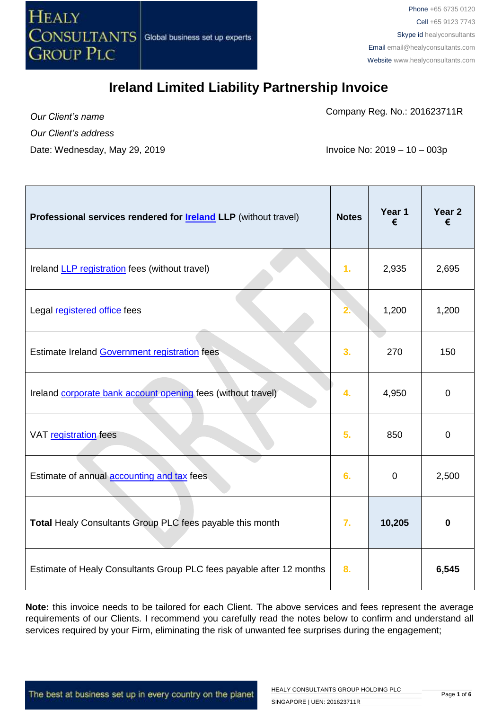

Company Reg. No.: 201623711R

*Our Client's name Our Client's address* Date: Wednesday, May 29, 2019 **Invoice No: 2019 – 10 – 003p** 

| Professional services rendered for <b>Ireland LLP</b> (without travel) | <b>Notes</b>     | Year 1<br>€ | Year <sub>2</sub><br>€ |
|------------------------------------------------------------------------|------------------|-------------|------------------------|
| Ireland <b>LLP</b> registration fees (without travel)                  | 1.               | 2,935       | 2,695                  |
| Legal registered office fees                                           | 2.               | 1,200       | 1,200                  |
| Estimate Ireland Government registration fees                          | 3.               | 270         | 150                    |
| Ireland corporate bank account opening fees (without travel)           | 4.               | 4,950       | $\mathbf 0$            |
| VAT registration fees                                                  | 5.               | 850         | $\mathbf 0$            |
| Estimate of annual <b>accounting and tax</b> fees                      | 6.               | $\mathbf 0$ | 2,500                  |
| Total Healy Consultants Group PLC fees payable this month              | $\overline{7}$ . | 10,205      | 0                      |
| Estimate of Healy Consultants Group PLC fees payable after 12 months   | 8.               |             | 6,545                  |

**Note:** this invoice needs to be tailored for each Client. The above services and fees represent the average requirements of our Clients. I recommend you carefully read the notes below to confirm and understand all services required by your Firm, eliminating the risk of unwanted fee surprises during the engagement;

The best at business set up in every country on the planet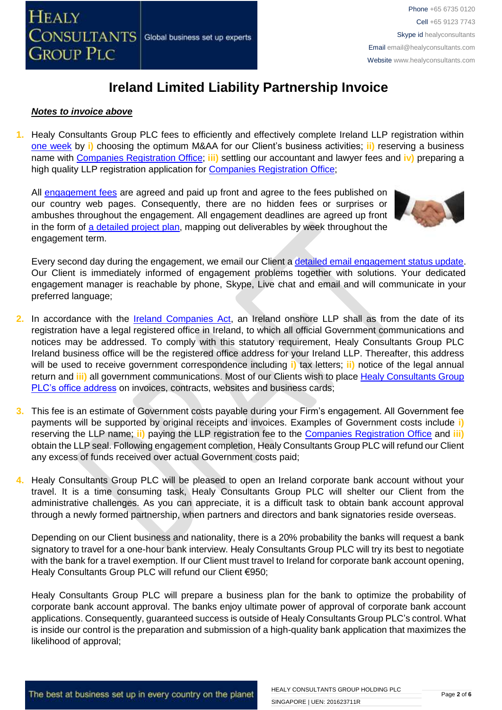

#### *Notes to invoice above*

**1.** Healy Consultants Group PLC fees to efficiently and effectively complete Ireland LLP registration within [one week](http://www.healyconsultants.com/ireland-company-registration/incorporation-steps/) by **i)** choosing the optimum M&AA for our Client's business activities; **ii)** reserving a business name with [Companies Registration Office;](https://www.cro.ie/Publications/Fees/Company) **iii)** settling our accountant and lawyer fees and **iv)** preparing a high quality LLP registration application for [Companies Registration Office;](https://www.cro.ie/Publications/Fees/Company)

All [engagement fees](http://www.healyconsultants.com/company-registration-fees/) are agreed and paid up front and agree to the fees published on our country web pages. Consequently, there are no hidden fees or surprises or ambushes throughout the engagement. All engagement deadlines are agreed up front in the form of [a detailed project plan,](http://www.healyconsultants.com/index-important-links/example-project-plan/) mapping out deliverables by week throughout the engagement term.



Every second day during the engagement, we email our Client [a detailed email engagement status update.](http://www.healyconsultants.com/index-important-links/weekly-engagement-status-email/) Our Client is immediately informed of engagement problems together with solutions. Your dedicated engagement manager is reachable by phone, Skype, Live chat and email and will communicate in your preferred language;

- **2.** In accordance with the [Ireland Companies Act,](http://www.irishstatutebook.ie/1963/en/act/pub/0033/) an Ireland onshore LLP shall as from the date of its registration have a legal registered office in Ireland, to which all official Government communications and notices may be addressed. To comply with this statutory requirement, Healy Consultants Group PLC Ireland business office will be the registered office address for your Ireland LLP. Thereafter, this address will be used to receive government correspondence including **i)** tax letters; **ii)** notice of the legal annual return and **iii)** all government communications. Most of our Clients wish to place [Healy Consultants Group](http://www.healyconsultants.com/corporate-outsourcing-services/company-secretary-and-legal-registered-office/)  [PLC's office address](http://www.healyconsultants.com/corporate-outsourcing-services/company-secretary-and-legal-registered-office/) on invoices, contracts, websites and business cards;
- **3.** This fee is an estimate of Government costs payable during your Firm's engagement. All Government fee payments will be supported by original receipts and invoices. Examples of Government costs include **i)** reserving the LLP name; **ii)** paying the LLP registration fee to the [Companies Registration Office](https://www.cro.ie/Publications/Fees/Company) and **iii)** obtain the LLP seal. Following engagement completion, Healy Consultants Group PLC will refund our Client any excess of funds received over actual Government costs paid;
- **4.** Healy Consultants Group PLC will be pleased to open an Ireland corporate bank account without your travel. It is a time consuming task, Healy Consultants Group PLC will shelter our Client from the administrative challenges. As you can appreciate, it is a difficult task to obtain bank account approval through a newly formed partnership, when partners and directors and bank signatories reside overseas.

Depending on our Client business and nationality, there is a 20% probability the banks will request a bank signatory to travel for a one-hour bank interview. Healy Consultants Group PLC will try its best to negotiate with the bank for a travel exemption. If our Client must travel to Ireland for corporate bank account opening, Healy Consultants Group PLC will refund our Client €950;

Healy Consultants Group PLC will prepare a business plan for the bank to optimize the probability of corporate bank account approval. The banks enjoy ultimate power of approval of corporate bank account applications. Consequently, guaranteed success is outside of Healy Consultants Group PLC's control. What is inside our control is the preparation and submission of a high-quality bank application that maximizes the likelihood of approval;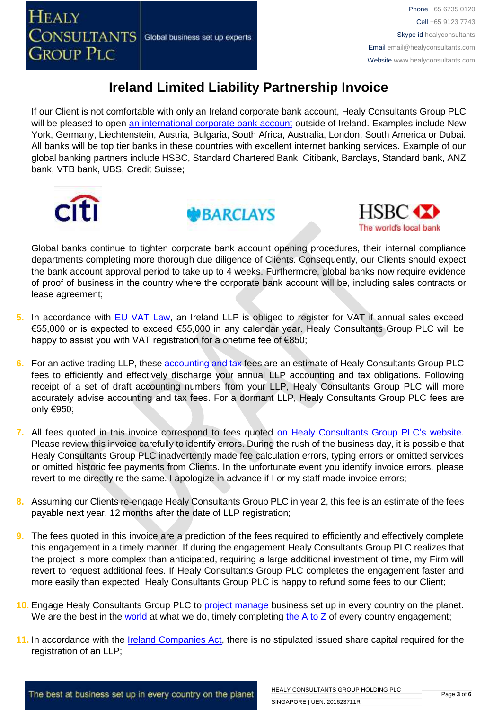If our Client is not comfortable with only an Ireland corporate bank account, Healy Consultants Group PLC will be pleased to open [an international corporate bank account](http://www.healyconsultants.com/international-banking/) outside of Ireland. Examples include New York, Germany, Liechtenstein, Austria, Bulgaria, South Africa, Australia, London, South America or Dubai. All banks will be top tier banks in these countries with excellent internet banking services. Example of our global banking partners include HSBC, Standard Chartered Bank, Citibank, Barclays, Standard bank, ANZ bank, VTB bank, UBS, Credit Suisse;







Global banks continue to tighten corporate bank account opening procedures, their internal compliance departments completing more thorough due diligence of Clients. Consequently, our Clients should expect the bank account approval period to take up to 4 weeks. Furthermore, global banks now require evidence of proof of business in the country where the corporate bank account will be, including sales contracts or lease agreement;

- **5.** In accordance with [EU VAT Law,](http://ec.europa.eu/taxation_customs/taxation/vat/how_vat_works/index_en.htm) an Ireland LLP is obliged to register for VAT if annual sales exceed €55,000 or is expected to exceed €55,000 in any calendar year. Healy Consultants Group PLC will be happy to assist you with VAT registration for a onetime fee of €850;
- **6.** For an active trading LLP, these [accounting and tax](http://www.healyconsultants.com/ireland-company-registration/accounting-legal/) fees are an estimate of Healy Consultants Group PLC fees to efficiently and effectively discharge your annual LLP accounting and tax obligations. Following receipt of a set of draft accounting numbers from your LLP, Healy Consultants Group PLC will more accurately advise accounting and tax fees. For a dormant LLP, Healy Consultants Group PLC fees are only €950;
- **7.** All fees quoted in this invoice correspond to fees quoted [on Healy Consultants Group PLC's](http://www.healyconsultants.com/company-registration-fees/) website. Please review this invoice carefully to identify errors. During the rush of the business day, it is possible that Healy Consultants Group PLC inadvertently made fee calculation errors, typing errors or omitted services or omitted historic fee payments from Clients. In the unfortunate event you identify invoice errors, please revert to me directly re the same. I apologize in advance if I or my staff made invoice errors;
- **8.** Assuming our Clients re-engage Healy Consultants Group PLC in year 2, this fee is an estimate of the fees payable next year, 12 months after the date of LLP registration;
- **9.** The fees quoted in this invoice are a prediction of the fees required to efficiently and effectively complete this engagement in a timely manner. If during the engagement Healy Consultants Group PLC realizes that the project is more complex than anticipated, requiring a large additional investment of time, my Firm will revert to request additional fees. If Healy Consultants Group PLC completes the engagement faster and more easily than expected, Healy Consultants Group PLC is happy to refund some fees to our Client;
- **10.** Engage Healy Consultants Group PLC to [project manage](http://www.healyconsultants.com/project-manage-engagements/) business set up in every country on the planet. We are the best in the [world](http://www.healyconsultants.com/best-in-the-world/) at what we do, timely completing the  $A$  to  $Z$  of every country engagement;
- **11.** In accordance with the [Ireland Companies Act,](http://www.irishstatutebook.ie/1963/en/act/pub/0033/) there is no stipulated issued share capital required for the registration of an LLP;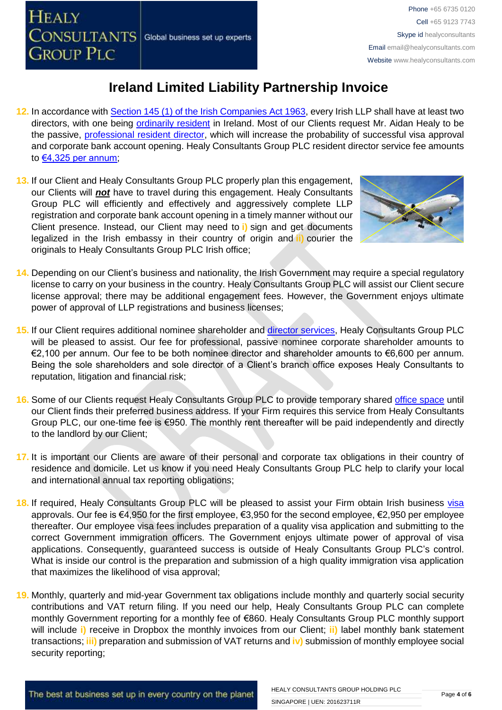- **12.** In accordance with [Section 145 \(1\) of the Irish Companies Act 1963,](http://www.irishstatutebook.ie/1963/en/act/pub/0033/sec0145.html) every Irish LLP shall have at least two directors, with one being [ordinarily resident](http://www.healyconsultants.com/resident-director-services/) in Ireland. Most of our Clients request Mr. Aidan Healy to be the passive, [professional resident director,](http://www.healyconsultants.com/resident-director-services/) which will increase the probability of successful visa approval and corporate bank account opening. Healy Consultants Group PLC resident director service fee amounts to [€4,325 per annum;](http://www.healyconsultants.com/corporate-advisory-services/resident-director-services/)
- **13.** If our Client and Healy Consultants Group PLC properly plan this engagement, our Clients will *not* have to travel during this engagement. Healy Consultants Group PLC will efficiently and effectively and aggressively complete LLP registration and corporate bank account opening in a timely manner without our Client presence. Instead, our Client may need to **i)** sign and get documents legalized in the Irish embassy in their country of origin and **ii)** courier the originals to Healy Consultants Group PLC Irish office;



- **14.** Depending on our Client's business and nationality, the Irish Government may require a special regulatory license to carry on your business in the country. Healy Consultants Group PLC will assist our Client secure license approval; there may be additional engagement fees. However, the Government enjoys ultimate power of approval of LLP registrations and business licenses;
- **15.** If our Client requires additional nominee shareholder and [director services,](http://www.healyconsultants.com/resident-director-services/) Healy Consultants Group PLC will be pleased to assist. Our fee for professional, passive nominee corporate shareholder amounts to €2,100 per annum. Our fee to be both nominee director and shareholder amounts to €6,600 per annum. Being the sole shareholders and sole director of a Client's branch office exposes Healy Consultants to reputation, litigation and financial risk;
- **16.** Some of our Clients request Healy Consultants Group PLC to provide temporary shared [office space](http://www.healyconsultants.com/virtual-office/) until our Client finds their preferred business address. If your Firm requires this service from Healy Consultants Group PLC, our one-time fee is €950. The monthly rent thereafter will be paid independently and directly to the landlord by our Client;
- **17.** It is important our Clients are aware of their personal and corporate tax obligations in their country of residence and domicile. Let us know if you need Healy Consultants Group PLC help to clarify your local and international annual tax reporting obligations;
- **18.** If required, Healy Consultants Group PLC will be pleased to assist your Firm obtain Irish business [visa](http://www.healyconsultants.com/ireland-company-registration/employment-visas/)  approvals. Our fee is €4,950 for the first employee, €3,950 for the second employee, €2,950 per employee thereafter. Our employee visa fees includes preparation of a quality visa application and submitting to the correct Government immigration officers. The Government enjoys ultimate power of approval of visa applications. Consequently, guaranteed success is outside of Healy Consultants Group PLC's control. What is inside our control is the preparation and submission of a high quality immigration visa application that maximizes the likelihood of visa approval;
- **19.** Monthly, quarterly and mid-year Government tax obligations include monthly and quarterly social security contributions and VAT return filing. If you need our help, Healy Consultants Group PLC can complete monthly Government reporting for a monthly fee of €860. Healy Consultants Group PLC monthly support will include **i)** receive in Dropbox the monthly invoices from our Client; **ii)** label monthly bank statement transactions; **iii)** preparation and submission of VAT returns and **iv)** submission of monthly employee social security reporting;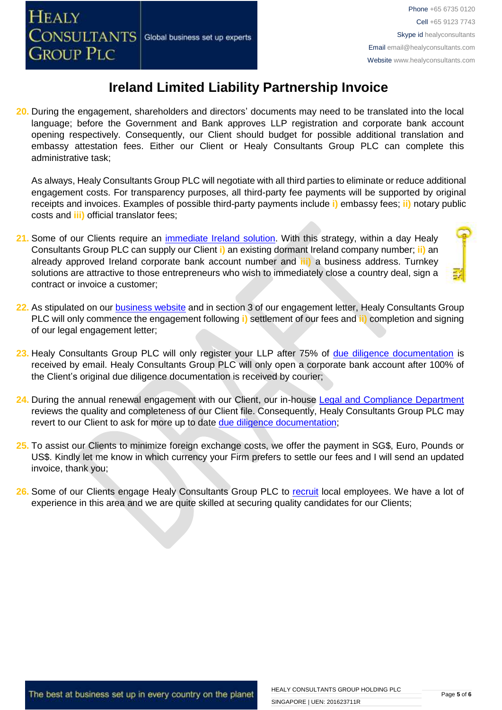**20.** During the engagement, shareholders and directors' documents may need to be translated into the local language; before the Government and Bank approves LLP registration and corporate bank account opening respectively. Consequently, our Client should budget for possible additional translation and embassy attestation fees. Either our Client or Healy Consultants Group PLC can complete this administrative task;

As always, Healy Consultants Group PLC will negotiate with all third parties to eliminate or reduce additional engagement costs. For transparency purposes, all third-party fee payments will be supported by original receipts and invoices. Examples of possible third-party payments include **i)** embassy fees; **ii)** notary public costs and **iii)** official translator fees;

- **21.** Some of our Clients require an [immediate Ireland](http://www.healyconsultants.com/turnkey-solutions/) solution. With this strategy, within a day Healy Consultants Group PLC can supply our Client **i)** an existing dormant Ireland company number; **ii)** an already approved Ireland corporate bank account number and **iii)** a business address. Turnkey solutions are attractive to those entrepreneurs who wish to immediately close a country deal, sign a contract or invoice a customer;
- **22.** As stipulated on our [business website](http://www.healyconsultants.com/) and in section 3 of our engagement letter, Healy Consultants Group PLC will only commence the engagement following **i)** settlement of our fees and **ii)** completion and signing of our legal engagement letter;
- 23. Healy Consultants Group PLC will only register your LLP after 75% of [due diligence documentation](http://www.healyconsultants.com/due-diligence/) is received by email. Healy Consultants Group PLC will only open a corporate bank account after 100% of the Client's original due diligence documentation is received by courier;
- **24.** During the annual renewal engagement with our Client, our in-house [Legal and Compliance Department](http://www.healyconsultants.com/about-us/key-personnel/cai-xin-profile/) reviews the quality and completeness of our Client file. Consequently, Healy Consultants Group PLC may revert to our Client to ask for more up to date [due diligence documentation;](http://www.healyconsultants.com/due-diligence/)
- **25.** To assist our Clients to minimize foreign exchange costs, we offer the payment in SG\$, Euro, Pounds or US\$. Kindly let me know in which currency your Firm prefers to settle our fees and I will send an updated invoice, thank you;
- **26.** Some of our Clients engage Healy Consultants Group PLC to [recruit](http://www.healyconsultants.com/corporate-outsourcing-services/how-we-help-our-clients-recruit-quality-employees/) local employees. We have a lot of experience in this area and we are quite skilled at securing quality candidates for our Clients;

The best at business set up in every country on the planet